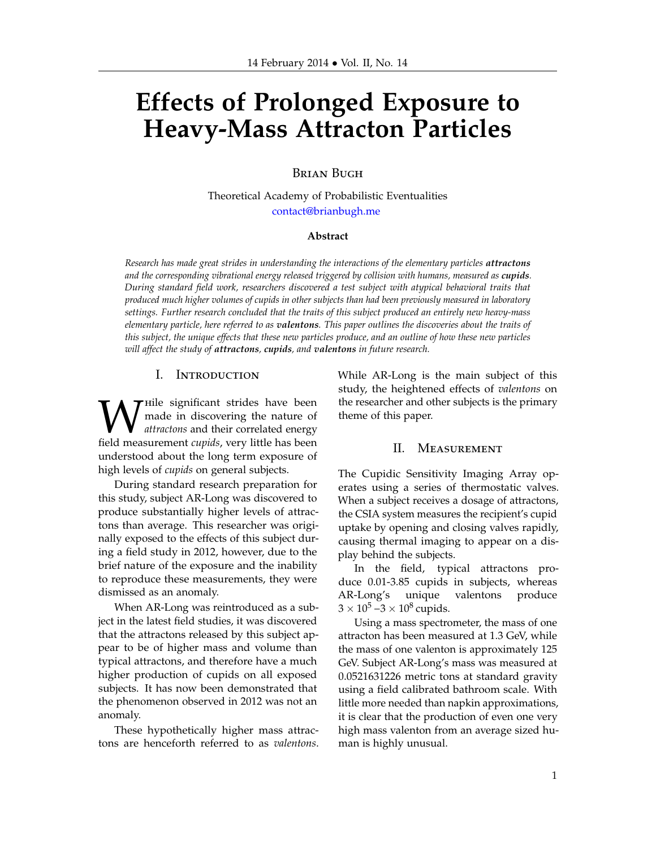# **Effects of Prolonged Exposure to Heavy-Mass Attracton Particles**

## Brian Bugh

Theoretical Academy of Probabilistic Eventualities [contact@brianbugh.me](mailto:contact@brianbugh.me)

#### **Abstract**

*Research has made great strides in understanding the interactions of the elementary particles attractons and the corresponding vibrational energy released triggered by collision with humans, measured as cupids. During standard field work, researchers discovered a test subject with atypical behavioral traits that produced much higher volumes of cupids in other subjects than had been previously measured in laboratory settings. Further research concluded that the traits of this subject produced an entirely new heavy-mass elementary particle, here referred to as valentons. This paper outlines the discoveries about the traits of this subject, the unique effects that these new particles produce, and an outline of how these new particles will affect the study of attractons, cupids, and valentons in future research.*

#### I. Introduction

**W** File significant strides have been<br>de in discovering the nature of<br>field measurement *cupids*, very little has been  $\tau$  Hile significant strides have been made in discovering the nature of *attractons* and their correlated energy understood about the long term exposure of high levels of *cupids* on general subjects.

During standard research preparation for this study, subject AR-Long was discovered to produce substantially higher levels of attractons than average. This researcher was originally exposed to the effects of this subject during a field study in 2012, however, due to the brief nature of the exposure and the inability to reproduce these measurements, they were dismissed as an anomaly.

When AR-Long was reintroduced as a subject in the latest field studies, it was discovered that the attractons released by this subject appear to be of higher mass and volume than typical attractons, and therefore have a much higher production of cupids on all exposed subjects. It has now been demonstrated that the phenomenon observed in 2012 was not an anomaly.

These hypothetically higher mass attractons are henceforth referred to as *valentons*.

While AR-Long is the main subject of this study, the heightened effects of *valentons* on the researcher and other subjects is the primary theme of this paper.

### II. Measurement

The Cupidic Sensitivity Imaging Array operates using a series of thermostatic valves. When a subject receives a dosage of attractons, the CSIA system measures the recipient's cupid uptake by opening and closing valves rapidly, causing thermal imaging to appear on a display behind the subjects.

In the field, typical attractons produce 0.01-3.85 cupids in subjects, whereas AR-Long's unique valentons produce 3 × 10<sup>5</sup> −3 × 10<sup>8</sup> cupids.

Using a mass spectrometer, the mass of one attracton has been measured at 1.3 GeV, while the mass of one valenton is approximately 125 GeV. Subject AR-Long's mass was measured at 0.0521631226 metric tons at standard gravity using a field calibrated bathroom scale. With little more needed than napkin approximations, it is clear that the production of even one very high mass valenton from an average sized human is highly unusual.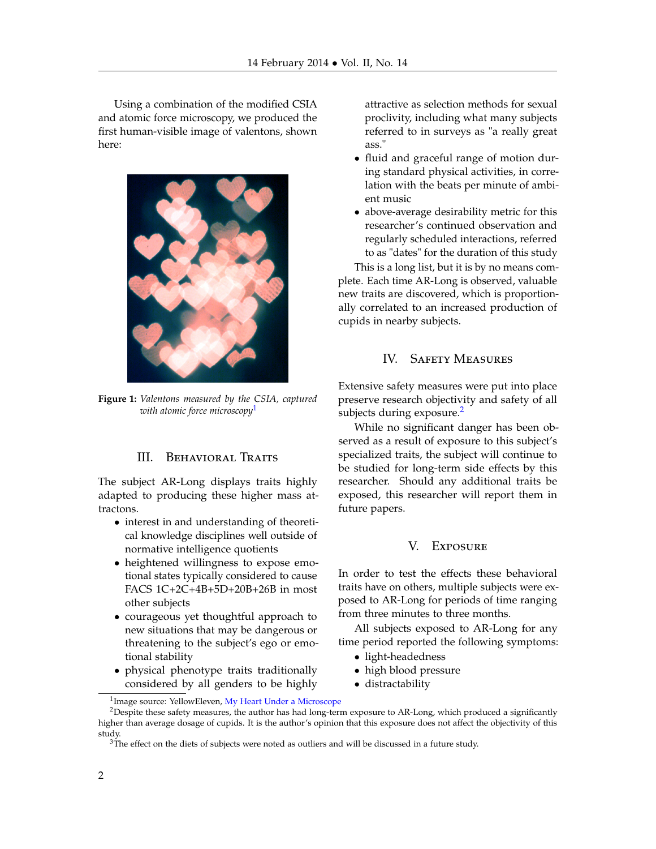Using a combination of the modified CSIA and atomic force microscopy, we produced the first human-visible image of valentons, shown here:



**Figure 1:** *Valentons measured by the CSIA, captured with atomic force microscopy*[1](#page-1-0)

## III. BEHAVIORAL TRAITS

The subject AR-Long displays traits highly adapted to producing these higher mass attractons.

- interest in and understanding of theoretical knowledge disciplines well outside of normative intelligence quotients
- heightened willingness to expose emotional states typically considered to cause FACS 1C+2C+4B+5D+20B+26B in most other subjects
- courageous yet thoughtful approach to new situations that may be dangerous or threatening to the subject's ego or emotional stability
- physical phenotype traits traditionally considered by all genders to be highly

attractive as selection methods for sexual proclivity, including what many subjects referred to in surveys as "a really great ass."

- fluid and graceful range of motion during standard physical activities, in correlation with the beats per minute of ambient music
- above-average desirability metric for this researcher's continued observation and regularly scheduled interactions, referred to as "dates" for the duration of this study

This is a long list, but it is by no means complete. Each time AR-Long is observed, valuable new traits are discovered, which is proportionally correlated to an increased production of cupids in nearby subjects.

## IV. Safety Measures

Extensive safety measures were put into place preserve research objectivity and safety of all subjects during exposure. $<sup>2</sup>$  $<sup>2</sup>$  $<sup>2</sup>$ </sup>

While no significant danger has been observed as a result of exposure to this subject's specialized traits, the subject will continue to be studied for long-term side effects by this researcher. Should any additional traits be exposed, this researcher will report them in future papers.

## V. Exposure

In order to test the effects these behavioral traits have on others, multiple subjects were exposed to AR-Long for periods of time ranging from three minutes to three months.

All subjects exposed to AR-Long for any time period reported the following symptoms:

- light-headedness
- high blood pressure
- distractability

<span id="page-1-1"></span><span id="page-1-0"></span><sup>&</sup>lt;sup>1</sup>Image source: YellowEleven, [My Heart Under a Microscope](http://yelloweleven.deviantart.com/art/My-Heart-Under-A-Microscope-112828974)

<sup>&</sup>lt;sup>2</sup>Despite these safety measures, the author has had long-term exposure to AR-Long, which produced a significantly higher than average dosage of cupids. It is the author's opinion that this exposure does not affect the objectivity of this study.

<span id="page-1-2"></span> $3$ The effect on the diets of subjects were noted as outliers and will be discussed in a future study.